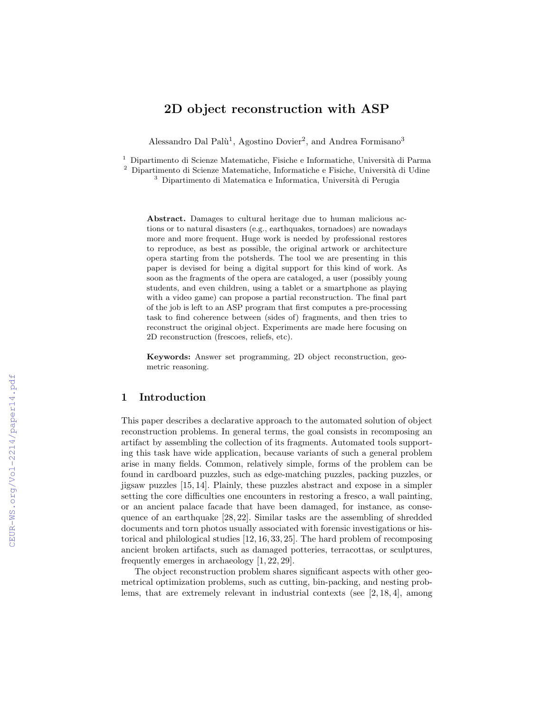# 2D object reconstruction with ASP

Alessandro Dal Palù<sup>1</sup>, Agostino Dovier<sup>2</sup>, and Andrea Formisano<sup>3</sup>

<sup>1</sup> Dipartimento di Scienze Matematiche, Fisiche e Informatiche, Università di Parma

<sup>2</sup> Dipartimento di Scienze Matematiche, Informatiche e Fisiche, Università di Udine

 $3$  Dipartimento di Matematica e Informatica, Università di Perugia

Abstract. Damages to cultural heritage due to human malicious actions or to natural disasters (e.g., earthquakes, tornadoes) are nowadays more and more frequent. Huge work is needed by professional restores to reproduce, as best as possible, the original artwork or architecture opera starting from the potsherds. The tool we are presenting in this paper is devised for being a digital support for this kind of work. As soon as the fragments of the opera are cataloged, a user (possibly young students, and even children, using a tablet or a smartphone as playing with a video game) can propose a partial reconstruction. The final part of the job is left to an ASP program that first computes a pre-processing task to find coherence between (sides of) fragments, and then tries to reconstruct the original object. Experiments are made here focusing on 2D reconstruction (frescoes, reliefs, etc).

Keywords: Answer set programming, 2D object reconstruction, geometric reasoning.

## 1 Introduction

This paper describes a declarative approach to the automated solution of object reconstruction problems. In general terms, the goal consists in recomposing an artifact by assembling the collection of its fragments. Automated tools supporting this task have wide application, because variants of such a general problem arise in many fields. Common, relatively simple, forms of the problem can be found in cardboard puzzles, such as edge-matching puzzles, packing puzzles, or jigsaw puzzles [15, 14]. Plainly, these puzzles abstract and expose in a simpler setting the core difficulties one encounters in restoring a fresco, a wall painting, or an ancient palace facade that have been damaged, for instance, as consequence of an earthquake [28, 22]. Similar tasks are the assembling of shredded documents and torn photos usually associated with forensic investigations or historical and philological studies [12, 16, 33, 25]. The hard problem of recomposing ancient broken artifacts, such as damaged potteries, terracottas, or sculptures, frequently emerges in archaeology [1, 22, 29].

The object reconstruction problem shares significant aspects with other geometrical optimization problems, such as cutting, bin-packing, and nesting problems, that are extremely relevant in industrial contexts (see [2, 18, 4], among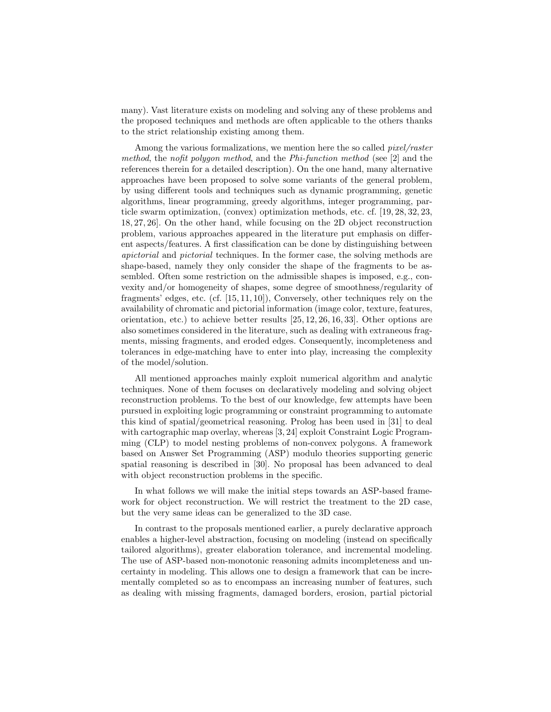many). Vast literature exists on modeling and solving any of these problems and the proposed techniques and methods are often applicable to the others thanks to the strict relationship existing among them.

Among the various formalizations, we mention here the so called pixel/raster method, the nofit polygon method, and the Phi-function method (see [2] and the references therein for a detailed description). On the one hand, many alternative approaches have been proposed to solve some variants of the general problem, by using different tools and techniques such as dynamic programming, genetic algorithms, linear programming, greedy algorithms, integer programming, particle swarm optimization, (convex) optimization methods, etc. cf. [19, 28, 32, 23, 18, 27, 26]. On the other hand, while focusing on the 2D object reconstruction problem, various approaches appeared in the literature put emphasis on different aspects/features. A first classification can be done by distinguishing between apictorial and pictorial techniques. In the former case, the solving methods are shape-based, namely they only consider the shape of the fragments to be assembled. Often some restriction on the admissible shapes is imposed, e.g., convexity and/or homogeneity of shapes, some degree of smoothness/regularity of fragments' edges, etc. (cf. [15, 11, 10]), Conversely, other techniques rely on the availability of chromatic and pictorial information (image color, texture, features, orientation, etc.) to achieve better results [25, 12, 26, 16, 33]. Other options are also sometimes considered in the literature, such as dealing with extraneous fragments, missing fragments, and eroded edges. Consequently, incompleteness and tolerances in edge-matching have to enter into play, increasing the complexity of the model/solution.

All mentioned approaches mainly exploit numerical algorithm and analytic techniques. None of them focuses on declaratively modeling and solving object reconstruction problems. To the best of our knowledge, few attempts have been pursued in exploiting logic programming or constraint programming to automate this kind of spatial/geometrical reasoning. Prolog has been used in [31] to deal with cartographic map overlay, whereas [3, 24] exploit Constraint Logic Programming (CLP) to model nesting problems of non-convex polygons. A framework based on Answer Set Programming (ASP) modulo theories supporting generic spatial reasoning is described in [30]. No proposal has been advanced to deal with object reconstruction problems in the specific.

In what follows we will make the initial steps towards an ASP-based framework for object reconstruction. We will restrict the treatment to the 2D case, but the very same ideas can be generalized to the 3D case.

In contrast to the proposals mentioned earlier, a purely declarative approach enables a higher-level abstraction, focusing on modeling (instead on specifically tailored algorithms), greater elaboration tolerance, and incremental modeling. The use of ASP-based non-monotonic reasoning admits incompleteness and uncertainty in modeling. This allows one to design a framework that can be incrementally completed so as to encompass an increasing number of features, such as dealing with missing fragments, damaged borders, erosion, partial pictorial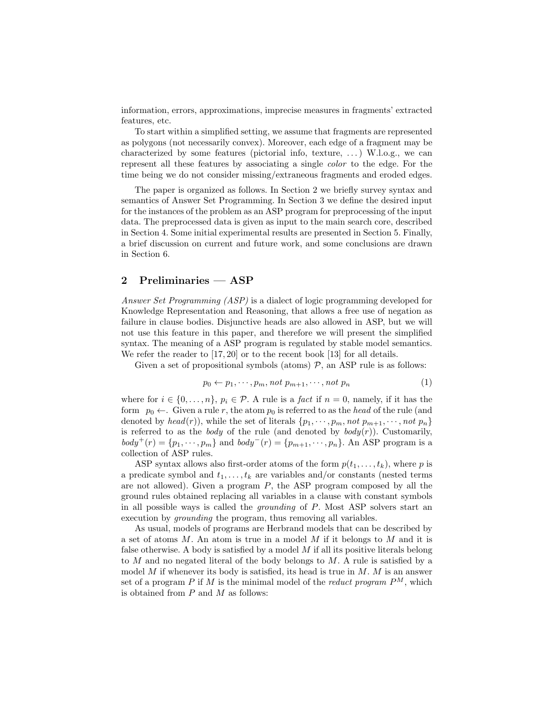information, errors, approximations, imprecise measures in fragments' extracted features, etc.

To start within a simplified setting, we assume that fragments are represented as polygons (not necessarily convex). Moreover, each edge of a fragment may be characterized by some features (pictorial info, texture,  $\dots$ ) W.l.o.g., we can represent all these features by associating a single color to the edge. For the time being we do not consider missing/extraneous fragments and eroded edges.

The paper is organized as follows. In Section 2 we briefly survey syntax and semantics of Answer Set Programming. In Section 3 we define the desired input for the instances of the problem as an ASP program for preprocessing of the input data. The preprocessed data is given as input to the main search core, described in Section 4. Some initial experimental results are presented in Section 5. Finally, a brief discussion on current and future work, and some conclusions are drawn in Section 6.

#### 2 Preliminaries — ASP

Answer Set Programming (ASP) is a dialect of logic programming developed for Knowledge Representation and Reasoning, that allows a free use of negation as failure in clause bodies. Disjunctive heads are also allowed in ASP, but we will not use this feature in this paper, and therefore we will present the simplified syntax. The meaning of a ASP program is regulated by stable model semantics. We refer the reader to [17, 20] or to the recent book [13] for all details.

Given a set of propositional symbols (atoms)  $P$ , an ASP rule is as follows:

$$
p_0 \leftarrow p_1, \cdots, p_m, \text{not } p_{m+1}, \cdots, \text{not } p_n \tag{1}
$$

where for  $i \in \{0, \ldots, n\}$ ,  $p_i \in \mathcal{P}$ . A rule is a *fact* if  $n = 0$ , namely, if it has the form  $p_0 \leftarrow$ . Given a rule r, the atom  $p_0$  is referred to as the head of the rule (and denoted by head(r)), while the set of literals  $\{p_1, \dots, p_m, not \ p_{m+1}, \dots, not \ p_n\}$ is referred to as the *body* of the rule (and denoted by  $body(r)$ ). Customarily,  $body^+(r) = \{p_1, \dots, p_m\}$  and  $body^-(r) = \{p_{m+1}, \dots, p_n\}$ . An ASP program is a collection of ASP rules.

ASP syntax allows also first-order atoms of the form  $p(t_1, \ldots, t_k)$ , where p is a predicate symbol and  $t_1, \ldots, t_k$  are variables and/or constants (nested terms are not allowed). Given a program  $P$ , the ASP program composed by all the ground rules obtained replacing all variables in a clause with constant symbols in all possible ways is called the grounding of P. Most ASP solvers start an execution by grounding the program, thus removing all variables.

As usual, models of programs are Herbrand models that can be described by a set of atoms M. An atom is true in a model M if it belongs to M and it is false otherwise. A body is satisfied by a model  $M$  if all its positive literals belong to M and no negated literal of the body belongs to M. A rule is satisfied by a model M if whenever its body is satisfied, its head is true in  $M$ . M is an answer set of a program P if M is the minimal model of the *reduct program*  $P^M$ , which is obtained from  $P$  and  $M$  as follows: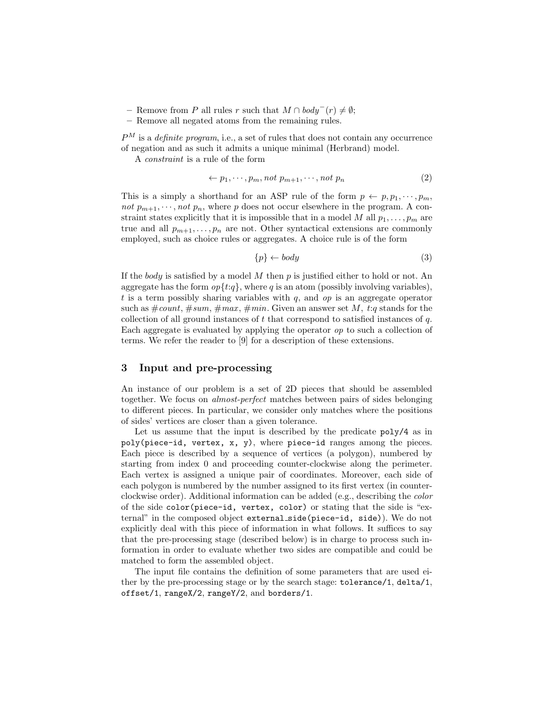- Remove from P all rules r such that  $M \cap body^{-}(r) \neq \emptyset$ ;
- Remove all negated atoms from the remaining rules.

 $P^M$  is a *definite program*, i.e., a set of rules that does not contain any occurrence of negation and as such it admits a unique minimal (Herbrand) model.

A constraint is a rule of the form

$$
\leftarrow p_1, \cdots, p_m, \text{not } p_{m+1}, \cdots, \text{not } p_n \tag{2}
$$

This is a simply a shorthand for an ASP rule of the form  $p \leftarrow p, p_1, \dots, p_m$ , not  $p_{m+1}, \dots, not \, p_n$ , where p does not occur elsewhere in the program. A constraint states explicitly that it is impossible that in a model M all  $p_1, \ldots, p_m$  are true and all  $p_{m+1}, \ldots, p_n$  are not. Other syntactical extensions are commonly employed, such as choice rules or aggregates. A choice rule is of the form

$$
\{p\} \leftarrow body \tag{3}
$$

If the body is satisfied by a model  $M$  then  $p$  is justified either to hold or not. An aggregate has the form  $op{t:q}$ , where q is an atom (possibly involving variables), t is a term possibly sharing variables with  $q$ , and  $op$  is an aggregate operator such as  $\text{\#count}, \text{\#sum}, \text{\#max}, \text{\#min}.$  Given an answer set M, t:q stands for the collection of all ground instances of  $t$  that correspond to satisfied instances of  $q$ . Each aggregate is evaluated by applying the operator op to such a collection of terms. We refer the reader to [9] for a description of these extensions.

## 3 Input and pre-processing

An instance of our problem is a set of 2D pieces that should be assembled together. We focus on almost-perfect matches between pairs of sides belonging to different pieces. In particular, we consider only matches where the positions of sides' vertices are closer than a given tolerance.

Let us assume that the input is described by the predicate  $poly/4$  as in poly(piece-id, vertex, x, y), where piece-id ranges among the pieces. Each piece is described by a sequence of vertices (a polygon), numbered by starting from index 0 and proceeding counter-clockwise along the perimeter. Each vertex is assigned a unique pair of coordinates. Moreover, each side of each polygon is numbered by the number assigned to its first vertex (in counterclockwise order). Additional information can be added (e.g., describing the color of the side color(piece-id, vertex, color) or stating that the side is "external" in the composed object external side(piece-id, side)). We do not explicitly deal with this piece of information in what follows. It suffices to say that the pre-processing stage (described below) is in charge to process such information in order to evaluate whether two sides are compatible and could be matched to form the assembled object.

The input file contains the definition of some parameters that are used either by the pre-processing stage or by the search stage: tolerance/1, delta/1, offset/1, rangeX/2, rangeY/2, and borders/1.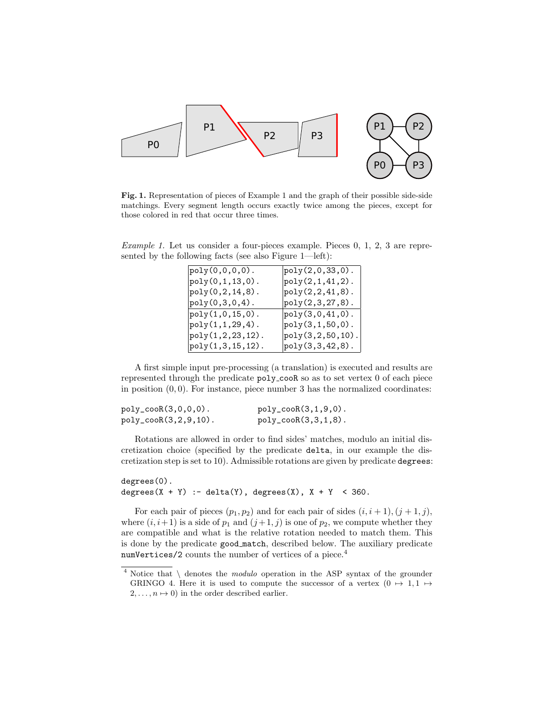

Fig. 1. Representation of pieces of Example 1 and the graph of their possible side-side matchings. Every segment length occurs exactly twice among the pieces, except for those colored in red that occur three times.

Example 1. Let us consider a four-pieces example. Pieces 0, 1, 2, 3 are represented by the following facts (see also Figure 1—left):

| $poly(0, 0, 0, 0)$ .  | $poly(2,0,33,0)$ .        |
|-----------------------|---------------------------|
| $poly(0, 1, 13, 0)$ . | $poly(2,1,41,2)$ .        |
| $poly(0, 2, 14, 8)$ . | $poly(2, 2, 41, 8)$ .     |
| $poly(0, 3, 0, 4)$ .  | $_{\rm poly(2,3,27,8)}$ . |
| $poly(1, 0, 15, 0)$ . | $poly(3,0,41,0)$ .        |
| $poly(1, 1, 29, 4)$ . | $poly(3, 1, 50, 0)$ .     |
| poly(1,2,23,12).      | poly(3,2,50,10).          |
| $poly(1,3,15,12)$ .   | $poly(3,3,42,8)$ .        |

A first simple input pre-processing (a translation) is executed and results are represented through the predicate poly cooR so as to set vertex 0 of each piece in position  $(0, 0)$ . For instance, piece number 3 has the normalized coordinates:

| $poly_{\texttt{cool}(3,0,0,0)}$ .  | $poly_{\texttt{cool}(3,1,9,0)}$ . |
|------------------------------------|-----------------------------------|
| $poly_{\texttt{cool}(3,2,9,10)}$ . | $poly_{\texttt{cool}(3,3,1,8)}$ . |

Rotations are allowed in order to find sides' matches, modulo an initial discretization choice (specified by the predicate delta, in our example the discretization step is set to 10). Admissible rotations are given by predicate degrees:

degrees(0). degrees( $X + Y$ ) :- delta(Y), degrees(X),  $X + Y < 360$ .

For each pair of pieces  $(p_1, p_2)$  and for each pair of sides  $(i, i + 1), (j + 1, j)$ , where  $(i, i+1)$  is a side of  $p_1$  and  $(j+1, j)$  is one of  $p_2$ , we compute whether they are compatible and what is the relative rotation needed to match them. This is done by the predicate good match, described below. The auxiliary predicate numVertices/2 counts the number of vertices of a piece.<sup>4</sup>

 $4$  Notice that  $\setminus$  denotes the *modulo* operation in the ASP syntax of the grounder GRINGO 4. Here it is used to compute the successor of a vertex  $(0 \rightarrow 1, 1 \rightarrow$  $2, \ldots, n \mapsto 0$ ) in the order described earlier.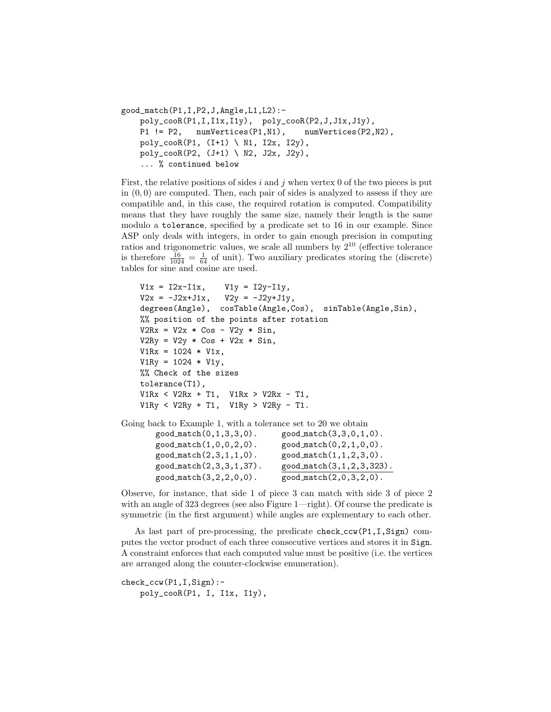```
good_match(P1,I,P2,J,Angle,L1,L2):-
    poly_cooR(P1,I,I1x,I1y), poly_cooR(P2,J,J1x,J1y),
    P1 != P2, numVertices(P1,N1), numVertices(P2,N2),
    poly_cooR(P1, (I+1) \ N1, I2x, I2y),
    poly\_coOR(P2, (J+1) \setminus N2, J2x, J2y),
    ... % continued below
```
First, the relative positions of sides i and j when vertex 0 of the two pieces is put in  $(0, 0)$  are computed. Then, each pair of sides is analyzed to assess if they are compatible and, in this case, the required rotation is computed. Compatibility means that they have roughly the same size, namely their length is the same modulo a tolerance, specified by a predicate set to 16 in our example. Since ASP only deals with integers, in order to gain enough precision in computing ratios and trigonometric values, we scale all numbers by  $2^{10}$  (effective tolerance is therefore  $\frac{16}{1024} = \frac{1}{64}$  of unit). Two auxiliary predicates storing the (discrete) tables for sine and cosine are used.

```
V1x = I2x-I1x, V1y = I2y-I1y,
    V2x = -J2x+J1x, V2y = -J2y+J1y,
    degrees(Angle), cosTable(Angle,Cos), sinTable(Angle,Sin),
    %% position of the points after rotation
    V2Rx = V2x * Cos - V2y * Sin,V2Ry = V2y * Cos + V2x * Sin,V1Rx = 1024 * V1x,
    V1Ry = 1024 * V1y,
    %% Check of the sizes
    tolerance(T1),
    V1Rx < V2Rx + T1, V1Rx > V2Rx - T1,
    V1Ry < V2Ry + T1, V1Ry > V2Ry - T1.
Going back to Example 1, with a tolerance set to 20 we obtain
       \texttt{good_match}(0,1,3,3,0). \texttt{good_match}(3,3,0,1,0).
```

| $goodmatch(1,0,0,2,0)$ . | goodmatch(0, 2, 1, 0, 0).  |
|--------------------------|----------------------------|
| $goodmatch(2,3,1,1,0)$ . | $goodmatch(1,1,2,3,0)$ .   |
| good_match(2,3,3,1,37).  | good_match(3,1,2,3,323).   |
| good_match(3,2,2,0,0).   | $good_matrix(2,0,3,2,0)$ . |

Observe, for instance, that side 1 of piece 3 can match with side 3 of piece 2 with an angle of 323 degrees (see also Figure 1—right). Of course the predicate is symmetric (in the first argument) while angles are explementary to each other.

As last part of pre-processing, the predicate check\_ccw(P1,I,Sign) computes the vector product of each three consecutive vertices and stores it in Sign. A constraint enforces that each computed value must be positive (i.e. the vertices are arranged along the counter-clockwise enumeration).

```
check_ccw(P1,I,Sign):-
    poly_cooR(P1, I, I1x, I1y),
```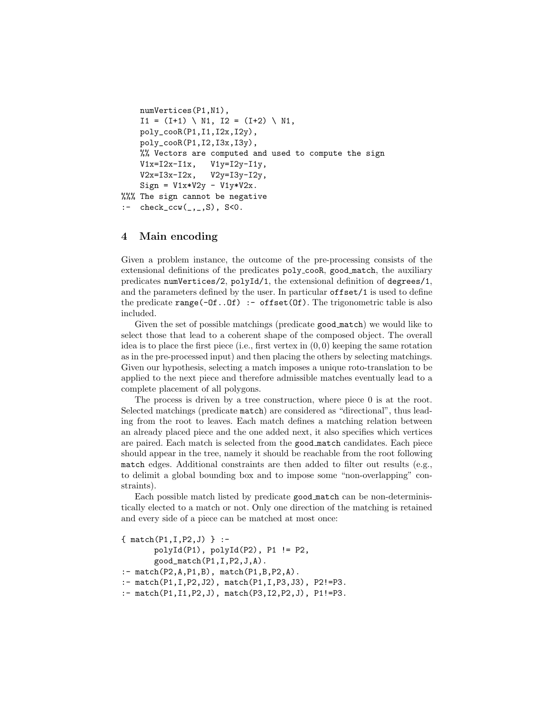```
numVertices(P1,N1),
    I1 = (I+1) \setminus N1, I2 = (I+2) \setminus N1,
    poly_cooR(P1,I1,I2x,I2y),
    poly_cooR(P1,I2,I3x,I3y),
    %% Vectors are computed and used to compute the sign
    V1x=I2x-I1x, V1y=I2y-I1y,
    V2x=I3x-I2x, V2y=I3y-I2y,
    Sign = V1x*V2y - V1y*V2x.
%%% The sign cannot be negative
:- check_ccw(_,_,S), S<0.
```
## 4 Main encoding

Given a problem instance, the outcome of the pre-processing consists of the extensional definitions of the predicates poly cooR, good match, the auxiliary predicates numVertices/2, polyId/1, the extensional definition of degrees/1, and the parameters defined by the user. In particular offset/1 is used to define the predicate range( $-0f$ .. $0f$ ) :- offset( $0f$ ). The trigonometric table is also included.

Given the set of possible matchings (predicate good match) we would like to select those that lead to a coherent shape of the composed object. The overall idea is to place the first piece (i.e., first vertex in  $(0, 0)$ ) keeping the same rotation as in the pre-processed input) and then placing the others by selecting matchings. Given our hypothesis, selecting a match imposes a unique roto-translation to be applied to the next piece and therefore admissible matches eventually lead to a complete placement of all polygons.

The process is driven by a tree construction, where piece 0 is at the root. Selected matchings (predicate match) are considered as "directional", thus leading from the root to leaves. Each match defines a matching relation between an already placed piece and the one added next, it also specifies which vertices are paired. Each match is selected from the good match candidates. Each piece should appear in the tree, namely it should be reachable from the root following match edges. Additional constraints are then added to filter out results (e.g., to delimit a global bounding box and to impose some "non-overlapping" constraints).

Each possible match listed by predicate good match can be non-deterministically elected to a match or not. Only one direction of the matching is retained and every side of a piece can be matched at most once:

```
{ match(P1,I,P2,J) } :-
       polyId(P1), polyId(P2), P1 != P2,
       good_match(P1,I,P2,J,A).
:- match(P2, A, P1, B), match(P1, B, P2, A).
:- match(P1,I,P2,J2), match(P1,I,P3,J3), P2!=P3.
:- match(P1,I1,P2,J), match(P3,I2,P2,J), P1!=P3.
```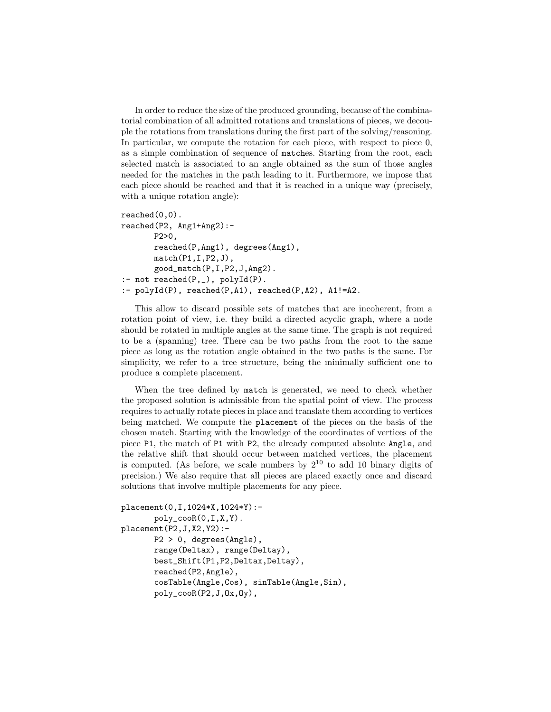In order to reduce the size of the produced grounding, because of the combinatorial combination of all admitted rotations and translations of pieces, we decouple the rotations from translations during the first part of the solving/reasoning. In particular, we compute the rotation for each piece, with respect to piece 0, as a simple combination of sequence of matches. Starting from the root, each selected match is associated to an angle obtained as the sum of those angles needed for the matches in the path leading to it. Furthermore, we impose that each piece should be reached and that it is reached in a unique way (precisely, with a unique rotation angle):

```
reached(0,0).
reached(P2, Ang1+Ang2):-
       P2>0,
       reached(P,Ang1), degrees(Ang1),
       match(P1,I,P2,J),good_match(P,I,P2,J,Ang2).
:- not reached(P, _{\_}), polyId(P).
:- polyId(P), reached(P,A1), reached(P,A2), A1!=A2.
```
This allow to discard possible sets of matches that are incoherent, from a rotation point of view, i.e. they build a directed acyclic graph, where a node should be rotated in multiple angles at the same time. The graph is not required to be a (spanning) tree. There can be two paths from the root to the same piece as long as the rotation angle obtained in the two paths is the same. For simplicity, we refer to a tree structure, being the minimally sufficient one to produce a complete placement.

When the tree defined by match is generated, we need to check whether the proposed solution is admissible from the spatial point of view. The process requires to actually rotate pieces in place and translate them according to vertices being matched. We compute the placement of the pieces on the basis of the chosen match. Starting with the knowledge of the coordinates of vertices of the piece P1, the match of P1 with P2, the already computed absolute Angle, and the relative shift that should occur between matched vertices, the placement is computed. (As before, we scale numbers by  $2^{10}$  to add 10 binary digits of precision.) We also require that all pieces are placed exactly once and discard solutions that involve multiple placements for any piece.

```
placement(0,I,1024*X,1024*Y):-
       poly_cooR(0,I,X,Y).
placement(P2,J,X2,Y2):-
      P2 > 0, degrees(Angle),
       range(Deltax), range(Deltay),
       best_Shift(P1,P2,Deltax,Deltay),
       reached(P2,Angle),
       cosTable(Angle,Cos), sinTable(Angle,Sin),
       poly_cooR(P2,J,Ox,Oy),
```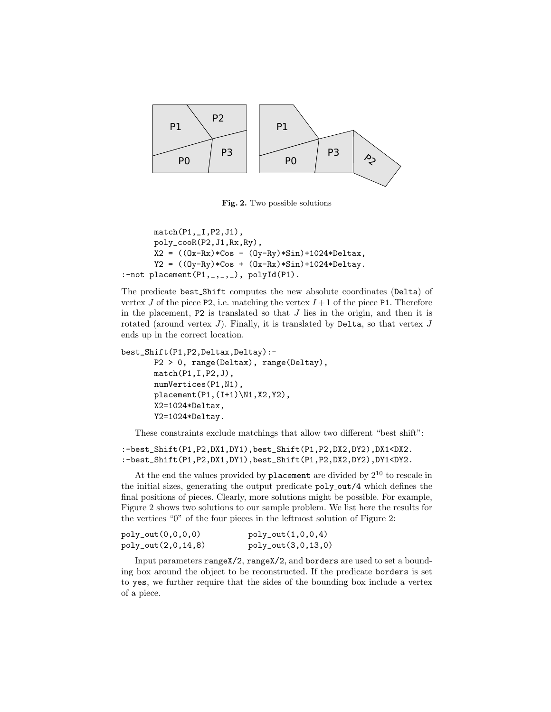

Fig. 2. Two possible solutions

```
match(P1,_I,P2,J1),
      poly_cooR(P2,J1,Rx,Ry),
      X2 = ((0x-Rx)*(cos - (0y-Ry)*Sin)+1024*Deltax,Y2 = ((0y-Ry)*Cos + (0x-Rx)*Sin)+1024*Deltay.:-not placement(P1, ..., 2), polyId(P1).
```
The predicate best Shift computes the new absolute coordinates (Delta) of vertex J of the piece P2, i.e. matching the vertex  $I+1$  of the piece P1. Therefore in the placement,  $P2$  is translated so that  $J$  lies in the origin, and then it is rotated (around vertex  $J$ ). Finally, it is translated by Delta, so that vertex  $J$ ends up in the correct location.

```
best_Shift(P1,P2,Deltax,Deltay):-
      P2 > 0, range(Deltax), range(Deltay),
      match(P1,I,P2,J),
      numVertices(P1,N1),
       placement(P1,(I+1)\N1,X2,Y2),
       X2=1024*Deltax,
       Y2=1024*Deltay.
```
These constraints exclude matchings that allow two different "best shift":

:-best\_Shift(P1,P2,DX1,DY1),best\_Shift(P1,P2,DX2,DY2),DX1<DX2. :-best\_Shift(P1,P2,DX1,DY1),best\_Shift(P1,P2,DX2,DY2),DY1<DY2.

At the end the values provided by placement are divided by  $2^{10}$  to rescale in the initial sizes, generating the output predicate  $poly_out/4$  which defines the final positions of pieces. Clearly, more solutions might be possible. For example, Figure 2 shows two solutions to our sample problem. We list here the results for the vertices "0" of the four pieces in the leftmost solution of Figure 2:

| $poly_out(0,0,0,0)$ | $poly_out(1,0,0,4)$ |
|---------------------|---------------------|
| poly_out(2,0,14,8)  | poly_out(3,0,13,0)  |

Input parameters rangeX/2, rangeX/2, and borders are used to set a bounding box around the object to be reconstructed. If the predicate borders is set to yes, we further require that the sides of the bounding box include a vertex of a piece.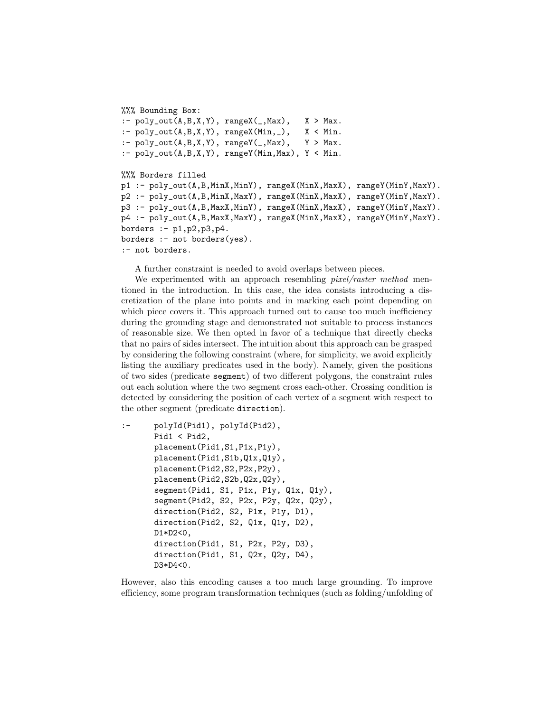```
%%% Bounding Box:
:- poly_{out}(A,B,X,Y), rangeX(\_,Max), X > Max.
:- poly_{out}(A,B,X,Y), rangeX(Min, _), X < Min.
:- poly_{out}(A,B,X,Y), rangeY(\_,Max), Y > Max.
:- poly_{out}(A, B, X, Y), rangeY(Min, Max), Y < Min.
%%% Borders filled
p1 :- poly_out(A,B,MinX,MinY), rangeX(MinX,MaxX), rangeY(MinY,MaxY).
p2 :- poly_out(A,B,MinX,MaxY), rangeX(MinX,MaxX), rangeY(MinY,MaxY).
p3 :- poly_out(A,B,MaxX,MinY), rangeX(MinX,MaxX), rangeY(MinY,MaxY).
p4 :- poly_out(A,B,MaxX,MaxY), rangeX(MinX,MaxX), rangeY(MinY,MaxY).
borders := p1, p2, p3, p4.borders :- not borders(yes).
:- not borders.
```
A further constraint is needed to avoid overlaps between pieces.

We experimented with an approach resembling *pixel/raster method* mentioned in the introduction. In this case, the idea consists introducing a discretization of the plane into points and in marking each point depending on which piece covers it. This approach turned out to cause too much inefficiency during the grounding stage and demonstrated not suitable to process instances of reasonable size. We then opted in favor of a technique that directly checks that no pairs of sides intersect. The intuition about this approach can be grasped by considering the following constraint (where, for simplicity, we avoid explicitly listing the auxiliary predicates used in the body). Namely, given the positions of two sides (predicate segment) of two different polygons, the constraint rules out each solution where the two segment cross each-other. Crossing condition is detected by considering the position of each vertex of a segment with respect to the other segment (predicate direction).

```
:- polyId(Pid1), polyId(Pid2),
      Pid1 < Pid2,
      placement(Pid1,S1,P1x,P1y),
      placement(Pid1,S1b,Q1x,Q1y),
      placement(Pid2,S2,P2x,P2y),
      placement(Pid2,S2b,Q2x,Q2y),
       segment(Pid1, S1, P1x, P1y, Q1x, Q1y),
       segment(Pid2, S2, P2x, P2y, Q2x, Q2y),
       direction(Pid2, S2, P1x, P1y, D1),
       direction(Pid2, S2, Q1x, Q1y, D2),
       D1*D2<0,
       direction(Pid1, S1, P2x, P2y, D3),
       direction(Pid1, S1, Q2x, Q2y, D4),
      D3*D4<0.
```
However, also this encoding causes a too much large grounding. To improve efficiency, some program transformation techniques (such as folding/unfolding of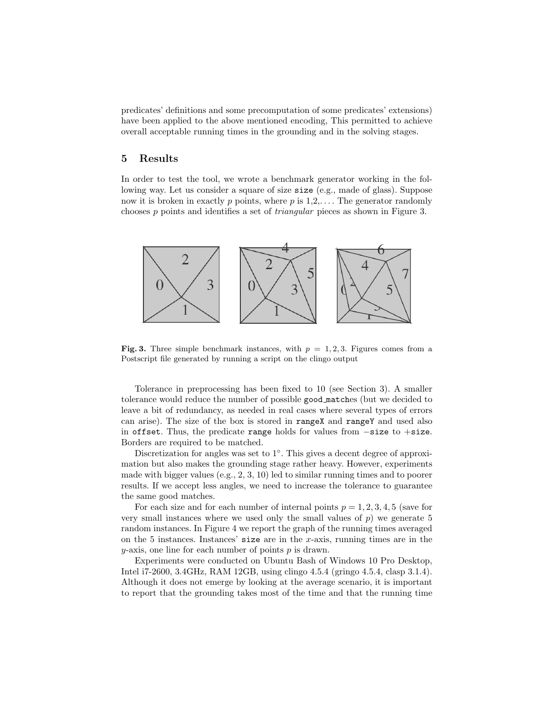predicates' definitions and some precomputation of some predicates' extensions) have been applied to the above mentioned encoding, This permitted to achieve overall acceptable running times in the grounding and in the solving stages.

#### 5 Results

In order to test the tool, we wrote a benchmark generator working in the following way. Let us consider a square of size size (e.g., made of glass). Suppose now it is broken in exactly p points, where  $p$  is  $1,2,...$  The generator randomly chooses p points and identifies a set of triangular pieces as shown in Figure 3.



Fig. 3. Three simple benchmark instances, with  $p = 1, 2, 3$ . Figures comes from a Postscript file generated by running a script on the clingo output

Tolerance in preprocessing has been fixed to 10 (see Section 3). A smaller tolerance would reduce the number of possible good matches (but we decided to leave a bit of redundancy, as needed in real cases where several types of errors can arise). The size of the box is stored in rangeX and rangeY and used also in offset. Thus, the predicate range holds for values from −size to +size. Borders are required to be matched.

Discretization for angles was set to 1◦ . This gives a decent degree of approximation but also makes the grounding stage rather heavy. However, experiments made with bigger values (e.g., 2, 3, 10) led to similar running times and to poorer results. If we accept less angles, we need to increase the tolerance to guarantee the same good matches.

For each size and for each number of internal points  $p = 1, 2, 3, 4, 5$  (save for very small instances where we used only the small values of  $p$ ) we generate 5 random instances. In Figure 4 we report the graph of the running times averaged on the 5 instances. Instances' size are in the  $x$ -axis, running times are in the  $y$ -axis, one line for each number of points  $p$  is drawn.

Experiments were conducted on Ubuntu Bash of Windows 10 Pro Desktop, Intel i7-2600, 3.4GHz, RAM 12GB, using clingo 4.5.4 (gringo 4.5.4, clasp 3.1.4). Although it does not emerge by looking at the average scenario, it is important to report that the grounding takes most of the time and that the running time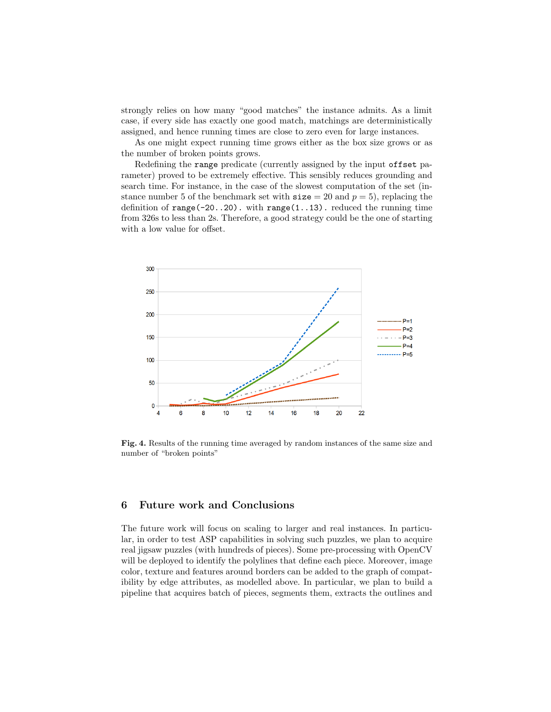strongly relies on how many "good matches" the instance admits. As a limit case, if every side has exactly one good match, matchings are deterministically assigned, and hence running times are close to zero even for large instances.

As one might expect running time grows either as the box size grows or as the number of broken points grows.

Redefining the range predicate (currently assigned by the input offset parameter) proved to be extremely effective. This sensibly reduces grounding and search time. For instance, in the case of the slowest computation of the set (instance number 5 of the benchmark set with  $size = 20$  and  $p = 5$ ), replacing the definition of  $range(-20..20)$ . with  $range(1..13)$ . reduced the running time from 326s to less than 2s. Therefore, a good strategy could be the one of starting with a low value for offset.



Fig. 4. Results of the running time averaged by random instances of the same size and number of "broken points"

## 6 Future work and Conclusions

The future work will focus on scaling to larger and real instances. In particular, in order to test ASP capabilities in solving such puzzles, we plan to acquire real jigsaw puzzles (with hundreds of pieces). Some pre-processing with OpenCV will be deployed to identify the polylines that define each piece. Moreover, image color, texture and features around borders can be added to the graph of compatibility by edge attributes, as modelled above. In particular, we plan to build a pipeline that acquires batch of pieces, segments them, extracts the outlines and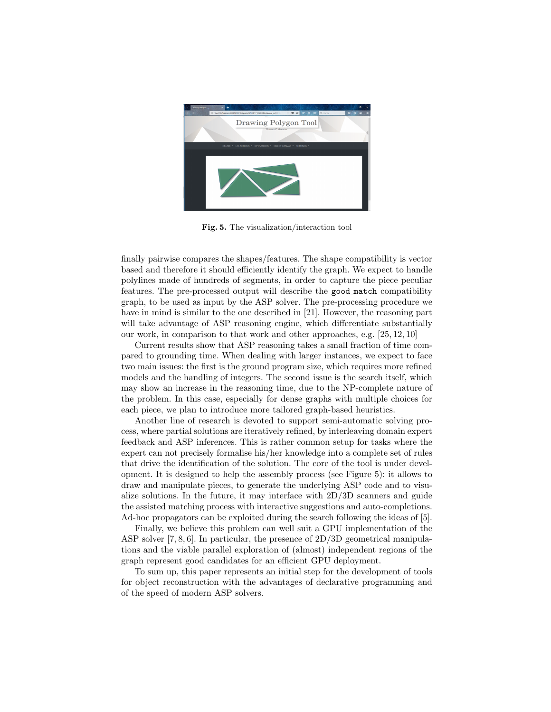

Fig. 5. The visualization/interaction tool

finally pairwise compares the shapes/features. The shape compatibility is vector based and therefore it should efficiently identify the graph. We expect to handle polylines made of hundreds of segments, in order to capture the piece peculiar features. The pre-processed output will describe the good match compatibility graph, to be used as input by the ASP solver. The pre-processing procedure we have in mind is similar to the one described in [21]. However, the reasoning part will take advantage of ASP reasoning engine, which differentiate substantially our work, in comparison to that work and other approaches, e.g. [25, 12, 10]

Current results show that ASP reasoning takes a small fraction of time compared to grounding time. When dealing with larger instances, we expect to face two main issues: the first is the ground program size, which requires more refined models and the handling of integers. The second issue is the search itself, which may show an increase in the reasoning time, due to the NP-complete nature of the problem. In this case, especially for dense graphs with multiple choices for each piece, we plan to introduce more tailored graph-based heuristics.

Another line of research is devoted to support semi-automatic solving process, where partial solutions are iteratively refined, by interleaving domain expert feedback and ASP inferences. This is rather common setup for tasks where the expert can not precisely formalise his/her knowledge into a complete set of rules that drive the identification of the solution. The core of the tool is under development. It is designed to help the assembly process (see Figure 5): it allows to draw and manipulate pieces, to generate the underlying ASP code and to visualize solutions. In the future, it may interface with  $2D/3D$  scanners and guide the assisted matching process with interactive suggestions and auto-completions. Ad-hoc propagators can be exploited during the search following the ideas of [5].

Finally, we believe this problem can well suit a GPU implementation of the ASP solver [7, 8, 6]. In particular, the presence of 2D/3D geometrical manipulations and the viable parallel exploration of (almost) independent regions of the graph represent good candidates for an efficient GPU deployment.

To sum up, this paper represents an initial step for the development of tools for object reconstruction with the advantages of declarative programming and of the speed of modern ASP solvers.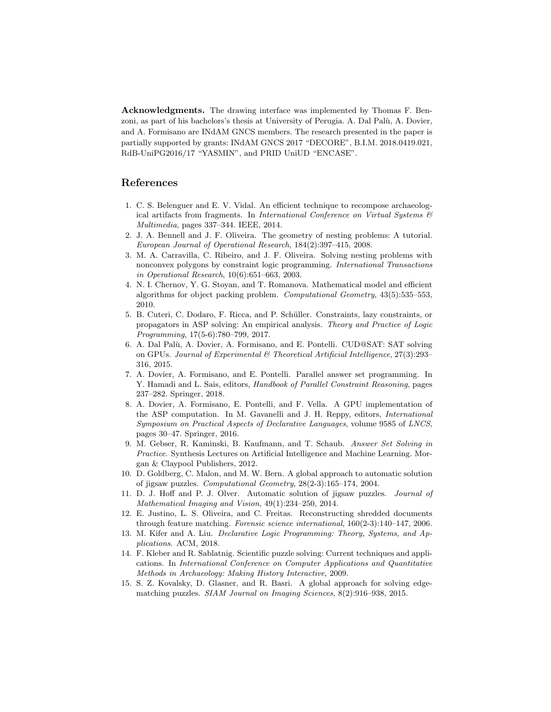Acknowledgments. The drawing interface was implemented by Thomas F. Benzoni, as part of his bachelors's thesis at University of Perugia. A. Dal Palù, A. Dovier, and A. Formisano are INdAM GNCS members. The research presented in the paper is partially supported by grants: INdAM GNCS 2017 "DECORE", B.I.M. 2018.0419.021, RdB-UniPG2016/17 "YASMIN", and PRID UniUD "ENCASE".

## References

- 1. C. S. Belenguer and E. V. Vidal. An efficient technique to recompose archaeological artifacts from fragments. In International Conference on Virtual Systems  $\mathcal{C}$ Multimedia, pages 337–344. IEEE, 2014.
- 2. J. A. Bennell and J. F. Oliveira. The geometry of nesting problems: A tutorial. European Journal of Operational Research, 184(2):397–415, 2008.
- 3. M. A. Carravilla, C. Ribeiro, and J. F. Oliveira. Solving nesting problems with nonconvex polygons by constraint logic programming. International Transactions in Operational Research, 10(6):651–663, 2003.
- 4. N. I. Chernov, Y. G. Stoyan, and T. Romanova. Mathematical model and efficient algorithms for object packing problem. Computational Geometry, 43(5):535–553, 2010.
- 5. B. Cuteri, C. Dodaro, F. Ricca, and P. Sch¨uller. Constraints, lazy constraints, or propagators in ASP solving: An empirical analysis. Theory and Practice of Logic Programming, 17(5-6):780–799, 2017.
- 6. A. Dal Pal`u, A. Dovier, A. Formisano, and E. Pontelli. CUD@SAT: SAT solving on GPUs. Journal of Experimental & Theoretical Artificial Intelligence, 27(3):293– 316, 2015.
- 7. A. Dovier, A. Formisano, and E. Pontelli. Parallel answer set programming. In Y. Hamadi and L. Sais, editors, *Handbook of Parallel Constraint Reasoning*, pages 237–282. Springer, 2018.
- 8. A. Dovier, A. Formisano, E. Pontelli, and F. Vella. A GPU implementation of the ASP computation. In M. Gavanelli and J. H. Reppy, editors, International Symposium on Practical Aspects of Declarative Languages, volume 9585 of LNCS, pages 30–47. Springer, 2016.
- 9. M. Gebser, R. Kaminski, B. Kaufmann, and T. Schaub. Answer Set Solving in Practice. Synthesis Lectures on Artificial Intelligence and Machine Learning. Morgan & Claypool Publishers, 2012.
- 10. D. Goldberg, C. Malon, and M. W. Bern. A global approach to automatic solution of jigsaw puzzles. Computational Geometry, 28(2-3):165–174, 2004.
- 11. D. J. Hoff and P. J. Olver. Automatic solution of jigsaw puzzles. Journal of Mathematical Imaging and Vision, 49(1):234–250, 2014.
- 12. E. Justino, L. S. Oliveira, and C. Freitas. Reconstructing shredded documents through feature matching. Forensic science international, 160(2-3):140–147, 2006.
- 13. M. Kifer and A. Liu. Declarative Logic Programming: Theory, Systems, and Applications. ACM, 2018.
- 14. F. Kleber and R. Sablatnig. Scientific puzzle solving: Current techniques and applications. In International Conference on Computer Applications and Quantitative Methods in Archaeology: Making History Interactive, 2009.
- 15. S. Z. Kovalsky, D. Glasner, and R. Basri. A global approach for solving edgematching puzzles. SIAM Journal on Imaging Sciences, 8(2):916–938, 2015.